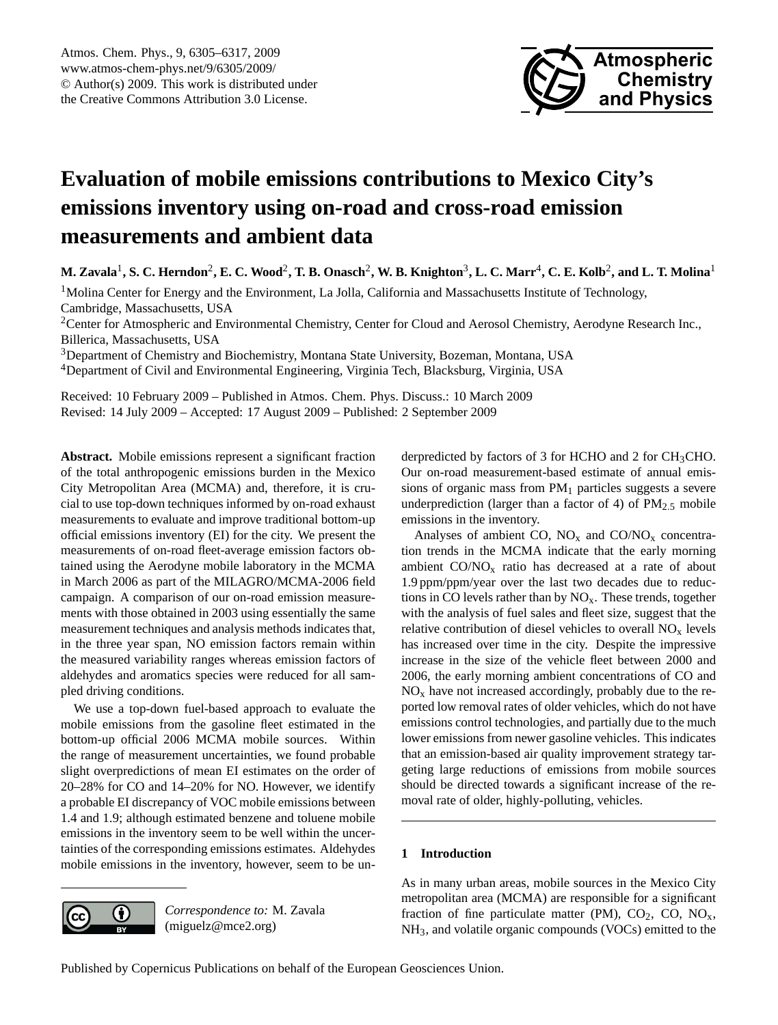

# <span id="page-0-0"></span>**Evaluation of mobile emissions contributions to Mexico City's emissions inventory using on-road and cross-road emission measurements and ambient data**

 $M$ . Zavala<sup>1</sup>, S. C. Herndon<sup>2</sup>, E. C. Wood<sup>2</sup>, T. B. Onasch<sup>2</sup>, W. B. Knighton<sup>3</sup>, L. C. Marr<sup>4</sup>, C. E. Kolb<sup>2</sup>, and L. T. Molina<sup>1</sup>

 $<sup>1</sup>$ Molina Center for Energy and the Environment, La Jolla, California and Massachusetts Institute of Technology,</sup> Cambridge, Massachusetts, USA

<sup>2</sup>Center for Atmospheric and Environmental Chemistry, Center for Cloud and Aerosol Chemistry, Aerodyne Research Inc., Billerica, Massachusetts, USA

<sup>3</sup>Department of Chemistry and Biochemistry, Montana State University, Bozeman, Montana, USA <sup>4</sup>Department of Civil and Environmental Engineering, Virginia Tech, Blacksburg, Virginia, USA

Received: 10 February 2009 – Published in Atmos. Chem. Phys. Discuss.: 10 March 2009 Revised: 14 July 2009 – Accepted: 17 August 2009 – Published: 2 September 2009

**Abstract.** Mobile emissions represent a significant fraction of the total anthropogenic emissions burden in the Mexico City Metropolitan Area (MCMA) and, therefore, it is crucial to use top-down techniques informed by on-road exhaust measurements to evaluate and improve traditional bottom-up official emissions inventory (EI) for the city. We present the measurements of on-road fleet-average emission factors obtained using the Aerodyne mobile laboratory in the MCMA in March 2006 as part of the MILAGRO/MCMA-2006 field campaign. A comparison of our on-road emission measurements with those obtained in 2003 using essentially the same measurement techniques and analysis methods indicates that, in the three year span, NO emission factors remain within the measured variability ranges whereas emission factors of aldehydes and aromatics species were reduced for all sampled driving conditions.

We use a top-down fuel-based approach to evaluate the mobile emissions from the gasoline fleet estimated in the bottom-up official 2006 MCMA mobile sources. Within the range of measurement uncertainties, we found probable slight overpredictions of mean EI estimates on the order of 20–28% for CO and 14–20% for NO. However, we identify a probable EI discrepancy of VOC mobile emissions between 1.4 and 1.9; although estimated benzene and toluene mobile emissions in the inventory seem to be well within the uncertainties of the corresponding emissions estimates. Aldehydes mobile emissions in the inventory, however, seem to be un-



*Correspondence to:* M. Zavala (miguelz@mce2.org)

derpredicted by factors of 3 for HCHO and 2 for  $CH<sub>3</sub>CHO$ . Our on-road measurement-based estimate of annual emissions of organic mass from  $PM<sub>1</sub>$  particles suggests a severe underprediction (larger than a factor of 4) of  $PM_{2.5}$  mobile emissions in the inventory.

Analyses of ambient CO,  $NO<sub>x</sub>$  and  $CO/NO<sub>x</sub>$  concentration trends in the MCMA indicate that the early morning ambient  $CO/NO<sub>x</sub>$  ratio has decreased at a rate of about 1.9 ppm/ppm/year over the last two decades due to reductions in CO levels rather than by  $NO<sub>x</sub>$ . These trends, together with the analysis of fuel sales and fleet size, suggest that the relative contribution of diesel vehicles to overall  $NO<sub>x</sub>$  levels has increased over time in the city. Despite the impressive increase in the size of the vehicle fleet between 2000 and 2006, the early morning ambient concentrations of CO and  $NO<sub>x</sub>$  have not increased accordingly, probably due to the reported low removal rates of older vehicles, which do not have emissions control technologies, and partially due to the much lower emissions from newer gasoline vehicles. This indicates that an emission-based air quality improvement strategy targeting large reductions of emissions from mobile sources should be directed towards a significant increase of the removal rate of older, highly-polluting, vehicles.

# **1 Introduction**

As in many urban areas, mobile sources in the Mexico City metropolitan area (MCMA) are responsible for a significant fraction of fine particulate matter (PM),  $CO<sub>2</sub>$ ,  $CO<sub>2</sub>$ ,  $NO<sub>x</sub>$ , NH3, and volatile organic compounds (VOCs) emitted to the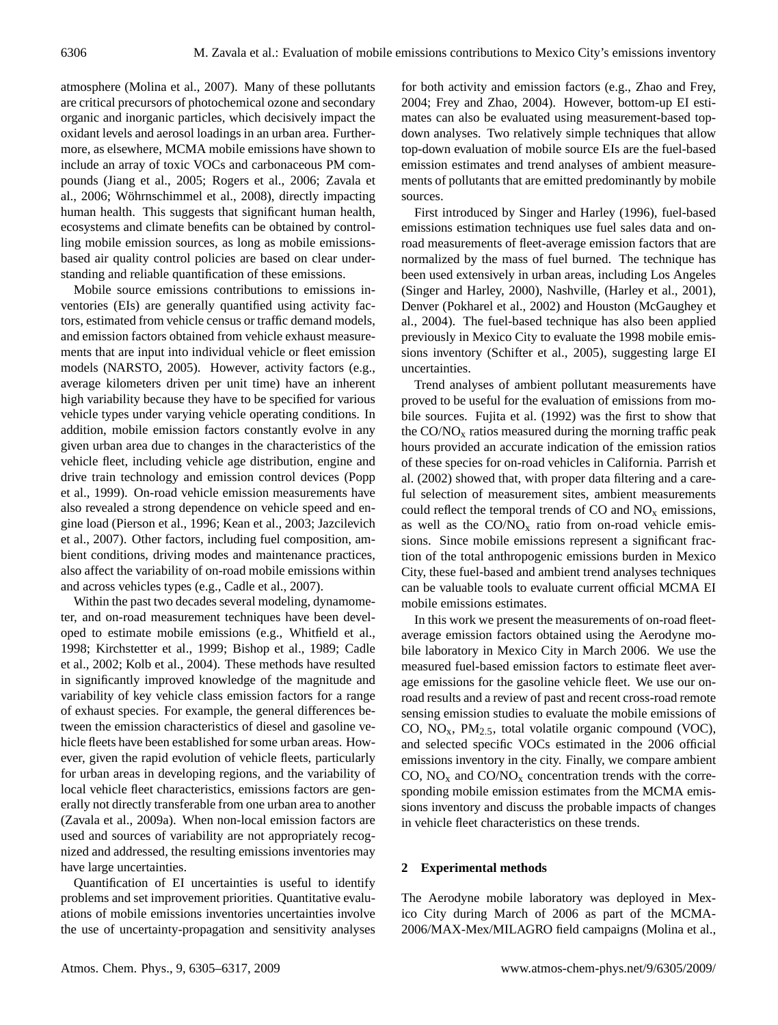atmosphere (Molina et al., 2007). Many of these pollutants are critical precursors of photochemical ozone and secondary organic and inorganic particles, which decisively impact the oxidant levels and aerosol loadings in an urban area. Furthermore, as elsewhere, MCMA mobile emissions have shown to include an array of toxic VOCs and carbonaceous PM compounds (Jiang et al., 2005; Rogers et al., 2006; Zavala et al., 2006; Wöhrnschimmel et al., 2008), directly impacting human health. This suggests that significant human health, ecosystems and climate benefits can be obtained by controlling mobile emission sources, as long as mobile emissionsbased air quality control policies are based on clear understanding and reliable quantification of these emissions.

Mobile source emissions contributions to emissions inventories (EIs) are generally quantified using activity factors, estimated from vehicle census or traffic demand models, and emission factors obtained from vehicle exhaust measurements that are input into individual vehicle or fleet emission models (NARSTO, 2005). However, activity factors (e.g., average kilometers driven per unit time) have an inherent high variability because they have to be specified for various vehicle types under varying vehicle operating conditions. In addition, mobile emission factors constantly evolve in any given urban area due to changes in the characteristics of the vehicle fleet, including vehicle age distribution, engine and drive train technology and emission control devices (Popp et al., 1999). On-road vehicle emission measurements have also revealed a strong dependence on vehicle speed and engine load (Pierson et al., 1996; Kean et al., 2003; Jazcilevich et al., 2007). Other factors, including fuel composition, ambient conditions, driving modes and maintenance practices, also affect the variability of on-road mobile emissions within and across vehicles types (e.g., Cadle et al., 2007).

Within the past two decades several modeling, dynamometer, and on-road measurement techniques have been developed to estimate mobile emissions (e.g., Whitfield et al., 1998; Kirchstetter et al., 1999; Bishop et al., 1989; Cadle et al., 2002; Kolb et al., 2004). These methods have resulted in significantly improved knowledge of the magnitude and variability of key vehicle class emission factors for a range of exhaust species. For example, the general differences between the emission characteristics of diesel and gasoline vehicle fleets have been established for some urban areas. However, given the rapid evolution of vehicle fleets, particularly for urban areas in developing regions, and the variability of local vehicle fleet characteristics, emissions factors are generally not directly transferable from one urban area to another (Zavala et al., 2009a). When non-local emission factors are used and sources of variability are not appropriately recognized and addressed, the resulting emissions inventories may have large uncertainties.

Quantification of EI uncertainties is useful to identify problems and set improvement priorities. Quantitative evaluations of mobile emissions inventories uncertainties involve the use of uncertainty-propagation and sensitivity analyses for both activity and emission factors (e.g., Zhao and Frey, 2004; Frey and Zhao, 2004). However, bottom-up EI estimates can also be evaluated using measurement-based topdown analyses. Two relatively simple techniques that allow top-down evaluation of mobile source EIs are the fuel-based emission estimates and trend analyses of ambient measurements of pollutants that are emitted predominantly by mobile sources.

First introduced by Singer and Harley (1996), fuel-based emissions estimation techniques use fuel sales data and onroad measurements of fleet-average emission factors that are normalized by the mass of fuel burned. The technique has been used extensively in urban areas, including Los Angeles (Singer and Harley, 2000), Nashville, (Harley et al., 2001), Denver (Pokharel et al., 2002) and Houston (McGaughey et al., 2004). The fuel-based technique has also been applied previously in Mexico City to evaluate the 1998 mobile emissions inventory (Schifter et al., 2005), suggesting large EI uncertainties.

Trend analyses of ambient pollutant measurements have proved to be useful for the evaluation of emissions from mobile sources. Fujita et al. (1992) was the first to show that the  $CO/NO<sub>x</sub>$  ratios measured during the morning traffic peak hours provided an accurate indication of the emission ratios of these species for on-road vehicles in California. Parrish et al. (2002) showed that, with proper data filtering and a careful selection of measurement sites, ambient measurements could reflect the temporal trends of  $CO$  and  $NO<sub>x</sub>$  emissions, as well as the  $CO/NO<sub>x</sub>$  ratio from on-road vehicle emissions. Since mobile emissions represent a significant fraction of the total anthropogenic emissions burden in Mexico City, these fuel-based and ambient trend analyses techniques can be valuable tools to evaluate current official MCMA EI mobile emissions estimates.

In this work we present the measurements of on-road fleetaverage emission factors obtained using the Aerodyne mobile laboratory in Mexico City in March 2006. We use the measured fuel-based emission factors to estimate fleet average emissions for the gasoline vehicle fleet. We use our onroad results and a review of past and recent cross-road remote sensing emission studies to evaluate the mobile emissions of CO,  $NO<sub>x</sub>$ ,  $PM<sub>2.5</sub>$ , total volatile organic compound (VOC), and selected specific VOCs estimated in the 2006 official emissions inventory in the city. Finally, we compare ambient CO,  $NO<sub>x</sub>$  and  $CO/NO<sub>x</sub>$  concentration trends with the corresponding mobile emission estimates from the MCMA emissions inventory and discuss the probable impacts of changes in vehicle fleet characteristics on these trends.

## **2 Experimental methods**

The Aerodyne mobile laboratory was deployed in Mexico City during March of 2006 as part of the MCMA-2006/MAX-Mex/MILAGRO field campaigns (Molina et al.,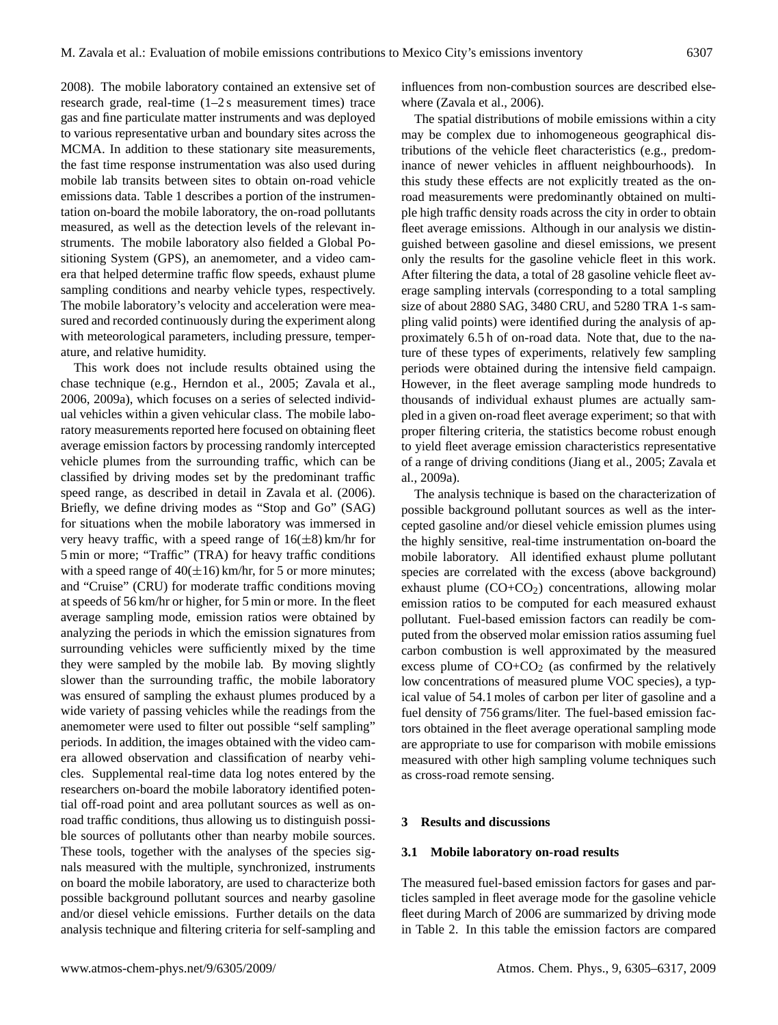2008). The mobile laboratory contained an extensive set of research grade, real-time (1–2 s measurement times) trace gas and fine particulate matter instruments and was deployed to various representative urban and boundary sites across the MCMA. In addition to these stationary site measurements, the fast time response instrumentation was also used during mobile lab transits between sites to obtain on-road vehicle emissions data. Table 1 describes a portion of the instrumentation on-board the mobile laboratory, the on-road pollutants measured, as well as the detection levels of the relevant instruments. The mobile laboratory also fielded a Global Positioning System (GPS), an anemometer, and a video camera that helped determine traffic flow speeds, exhaust plume sampling conditions and nearby vehicle types, respectively. The mobile laboratory's velocity and acceleration were measured and recorded continuously during the experiment along with meteorological parameters, including pressure, temperature, and relative humidity.

This work does not include results obtained using the chase technique (e.g., Herndon et al., 2005; Zavala et al., 2006, 2009a), which focuses on a series of selected individual vehicles within a given vehicular class. The mobile laboratory measurements reported here focused on obtaining fleet average emission factors by processing randomly intercepted vehicle plumes from the surrounding traffic, which can be classified by driving modes set by the predominant traffic speed range, as described in detail in Zavala et al. (2006). Briefly, we define driving modes as "Stop and Go" (SAG) for situations when the mobile laboratory was immersed in very heavy traffic, with a speed range of  $16(\pm 8)$  km/hr for 5 min or more; "Traffic" (TRA) for heavy traffic conditions with a speed range of  $40(\pm 16)$  km/hr, for 5 or more minutes; and "Cruise" (CRU) for moderate traffic conditions moving at speeds of 56 km/hr or higher, for 5 min or more. In the fleet average sampling mode, emission ratios were obtained by analyzing the periods in which the emission signatures from surrounding vehicles were sufficiently mixed by the time they were sampled by the mobile lab. By moving slightly slower than the surrounding traffic, the mobile laboratory was ensured of sampling the exhaust plumes produced by a wide variety of passing vehicles while the readings from the anemometer were used to filter out possible "self sampling" periods. In addition, the images obtained with the video camera allowed observation and classification of nearby vehicles. Supplemental real-time data log notes entered by the researchers on-board the mobile laboratory identified potential off-road point and area pollutant sources as well as onroad traffic conditions, thus allowing us to distinguish possible sources of pollutants other than nearby mobile sources. These tools, together with the analyses of the species signals measured with the multiple, synchronized, instruments on board the mobile laboratory, are used to characterize both possible background pollutant sources and nearby gasoline and/or diesel vehicle emissions. Further details on the data analysis technique and filtering criteria for self-sampling and influences from non-combustion sources are described elsewhere (Zavala et al., 2006).

The spatial distributions of mobile emissions within a city may be complex due to inhomogeneous geographical distributions of the vehicle fleet characteristics (e.g., predominance of newer vehicles in affluent neighbourhoods). In this study these effects are not explicitly treated as the onroad measurements were predominantly obtained on multiple high traffic density roads across the city in order to obtain fleet average emissions. Although in our analysis we distinguished between gasoline and diesel emissions, we present only the results for the gasoline vehicle fleet in this work. After filtering the data, a total of 28 gasoline vehicle fleet average sampling intervals (corresponding to a total sampling size of about 2880 SAG, 3480 CRU, and 5280 TRA 1-s sampling valid points) were identified during the analysis of approximately 6.5 h of on-road data. Note that, due to the nature of these types of experiments, relatively few sampling periods were obtained during the intensive field campaign. However, in the fleet average sampling mode hundreds to thousands of individual exhaust plumes are actually sampled in a given on-road fleet average experiment; so that with proper filtering criteria, the statistics become robust enough to yield fleet average emission characteristics representative of a range of driving conditions (Jiang et al., 2005; Zavala et al., 2009a).

The analysis technique is based on the characterization of possible background pollutant sources as well as the intercepted gasoline and/or diesel vehicle emission plumes using the highly sensitive, real-time instrumentation on-board the mobile laboratory. All identified exhaust plume pollutant species are correlated with the excess (above background) exhaust plume  $(CO+CO<sub>2</sub>)$  concentrations, allowing molar emission ratios to be computed for each measured exhaust pollutant. Fuel-based emission factors can readily be computed from the observed molar emission ratios assuming fuel carbon combustion is well approximated by the measured excess plume of  $CO+CO<sub>2</sub>$  (as confirmed by the relatively low concentrations of measured plume VOC species), a typical value of 54.1 moles of carbon per liter of gasoline and a fuel density of 756 grams/liter. The fuel-based emission factors obtained in the fleet average operational sampling mode are appropriate to use for comparison with mobile emissions measured with other high sampling volume techniques such as cross-road remote sensing.

## **3 Results and discussions**

#### **3.1 Mobile laboratory on-road results**

The measured fuel-based emission factors for gases and particles sampled in fleet average mode for the gasoline vehicle fleet during March of 2006 are summarized by driving mode in Table 2. In this table the emission factors are compared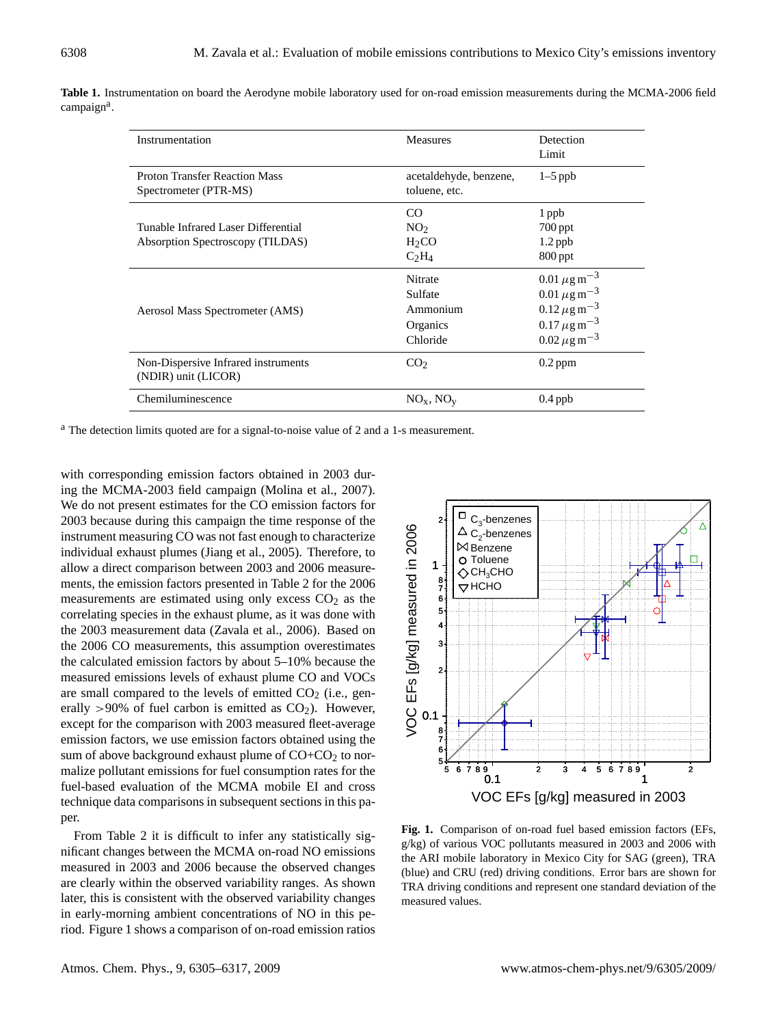| Instrumentation                                                         | <b>Measures</b>                                        | Detection<br>Limit                                                                                                                                                     |  |
|-------------------------------------------------------------------------|--------------------------------------------------------|------------------------------------------------------------------------------------------------------------------------------------------------------------------------|--|
| <b>Proton Transfer Reaction Mass</b><br>Spectrometer (PTR-MS)           | acetaldehyde, benzene,<br>toluene, etc.                | $1-5$ ppb                                                                                                                                                              |  |
| Tunable Infrared Laser Differential<br>Absorption Spectroscopy (TILDAS) | CO<br>NO <sub>2</sub><br>H <sub>2</sub> CO<br>$C_2H_4$ | 1 ppb<br>$700$ ppt<br>$1.2$ ppb<br>$800$ ppt                                                                                                                           |  |
| Aerosol Mass Spectrometer (AMS)                                         | Nitrate<br>Sulfate<br>Ammonium<br>Organics<br>Chloride | $0.01 \,\mu g \,\text{m}^{-3}$<br>$0.01 \,\mu g \,\text{m}^{-3}$<br>$0.12 \,\mu g \,\text{m}^{-3}$<br>$0.17 \,\mu g \,\text{m}^{-3}$<br>$0.02 \,\mu g \,\text{m}^{-3}$ |  |
| Non-Dispersive Infrared instruments<br>(NDIR) unit (LICOR)              | CO <sub>2</sub>                                        | $0.2$ ppm                                                                                                                                                              |  |
| Chemiluminescence                                                       | $NOx$ , $NOy$                                          | $0.4$ ppb                                                                                                                                                              |  |

**Table 1.** Instrumentation on board the Aerodyne mobile laboratory used for on-road emission measurements during the MCMA-2006 field campaign<sup>a</sup>.

<sup>a</sup> The detection limits quoted are for a signal-to-noise value of 2 and a 1-s measurement.

with corresponding emission factors obtained in 2003 during the MCMA-2003 field campaign (Molina et al., 2007). We do not present estimates for the CO emission factors for 2003 because during this campaign the time response of the instrument measuring CO was not fast enough to characterize individual exhaust plumes (Jiang et al., 2005). Therefore, to allow a direct comparison between 2003 and 2006 measurements, the emission factors presented in Table 2 for the 2006 measurements are estimated using only excess  $CO<sub>2</sub>$  as the correlating species in the exhaust plume, as it was done with the 2003 measurement data (Zavala et al., 2006). Based on the 2006 CO measurements, this assumption overestimates the calculated emission factors by about 5–10% because the measured emissions levels of exhaust plume CO and VOCs are small compared to the levels of emitted  $CO<sub>2</sub>$  (i.e., generally >90% of fuel carbon is emitted as  $CO<sub>2</sub>$ ). However, except for the comparison with 2003 measured fleet-average emission factors, we use emission factors obtained using the sum of above background exhaust plume of  $CO + CO<sub>2</sub>$  to normalize pollutant emissions for fuel consumption rates for the fuel-based evaluation of the MCMA mobile EI and cross technique data comparisons in subsequent sections in this paper.

From Table 2 it is difficult to infer any statistically significant changes between the MCMA on-road NO emissions measured in 2003 and 2006 because the observed changes are clearly within the observed variability ranges. As shown later, this is consistent with the observed variability changes in early-morning ambient concentrations of NO in this period. Figure 1 shows a comparison of on-road emission ratios



**Fig. 1.** Comparison of on-road fuel based emission factors (EFs, g/kg) of various VOC pollutants measured in 2003 and 2006 with the ARI mobile laboratory in Mexico City for SAG (green), TRA (blue) and CRU (red) driving conditions. Error bars are shown for TRA driving conditions and represent one standard deviation of the measured values.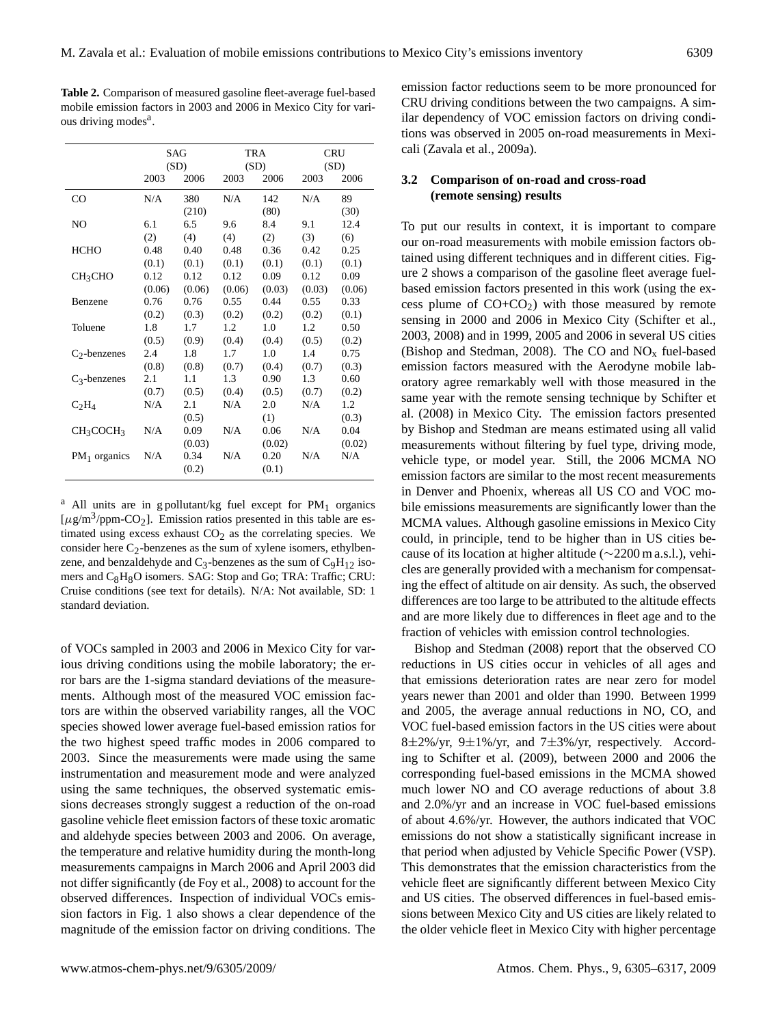|                                   | SAG<br>(SD) |        | <b>TRA</b><br>(SD) |        | <b>CRU</b><br>(SD) |        |
|-----------------------------------|-------------|--------|--------------------|--------|--------------------|--------|
|                                   | 2003        | 2006   | 2003               | 2006   | 2003               | 2006   |
| $_{\rm CO}$                       | N/A         | 380    | N/A                | 142    | N/A                | 89     |
|                                   |             | (210)  |                    | (80)   |                    | (30)   |
| NO                                | 6.1         | 6.5    | 9.6                | 8.4    | 9.1                | 12.4   |
|                                   | (2)         | (4)    | (4)                | (2)    | (3)                | (6)    |
| <b>HCHO</b>                       | 0.48        | 0.40   | 0.48               | 0.36   | 0.42               | 0.25   |
|                                   | (0.1)       | (0.1)  | (0.1)              | (0.1)  | (0.1)              | (0.1)  |
| CH <sub>3</sub> CHO               | 0.12        | 0.12   | 0.12               | 0.09   | 0.12               | 0.09   |
|                                   | (0.06)      | (0.06) | (0.06)             | (0.03) | (0.03)             | (0.06) |
| Benzene                           | 0.76        | 0.76   | 0.55               | 0.44   | 0.55               | 0.33   |
|                                   | (0.2)       | (0.3)  | (0.2)              | (0.2)  | (0.2)              | (0.1)  |
| Toluene                           | 1.8         | 1.7    | 1.2                | 1.0    | 1.2                | 0.50   |
|                                   | (0.5)       | (0.9)  | (0.4)              | (0.4)  | (0.5)              | (0.2)  |
| $C_2$ -benzenes                   | 2.4         | 1.8    | 1.7                | 1.0    | 1.4                | 0.75   |
|                                   | (0.8)       | (0.8)  | (0.7)              | (0.4)  | (0.7)              | (0.3)  |
| $C_3$ -benzenes                   | 2.1         | 1.1    | 1.3                | 0.90   | 1.3                | 0.60   |
|                                   | (0.7)       | (0.5)  | (0.4)              | (0.5)  | (0.7)              | (0.2)  |
| $C_2H_4$                          | N/A         | 2.1    | N/A                | 2.0    | N/A                | 1.2    |
|                                   |             | (0.5)  |                    | (1)    |                    | (0.3)  |
| CH <sub>3</sub> COCH <sub>3</sub> | N/A         | 0.09   | N/A                | 0.06   | N/A                | 0.04   |
|                                   |             | (0.03) |                    | (0.02) |                    | (0.02) |
| $PM_1$ organics                   | N/A         | 0.34   | N/A                | 0.20   | N/A                | N/A    |
|                                   |             | (0.2)  |                    | (0.1)  |                    |        |

**Table 2.** Comparison of measured gasoline fleet-average fuel-based mobile emission factors in 2003 and 2006 in Mexico City for various driving modes<sup>a</sup>.

 $a$  All units are in g pollutant/kg fuel except for PM<sub>1</sub> organics  $[\mu g/m^3$ /ppm-CO<sub>2</sub>]. Emission ratios presented in this table are estimated using excess exhaust  $CO<sub>2</sub>$  as the correlating species. We consider here  $C_2$ -benzenes as the sum of xylene isomers, ethylbenzene, and benzaldehyde and  $C_3$ -benzenes as the sum of  $C_9H_{12}$  isomers and C<sub>8</sub>H<sub>8</sub>O isomers. SAG: Stop and Go; TRA: Traffic; CRU: Cruise conditions (see text for details). N/A: Not available, SD: 1 standard deviation.

of VOCs sampled in 2003 and 2006 in Mexico City for various driving conditions using the mobile laboratory; the error bars are the 1-sigma standard deviations of the measurements. Although most of the measured VOC emission factors are within the observed variability ranges, all the VOC species showed lower average fuel-based emission ratios for the two highest speed traffic modes in 2006 compared to 2003. Since the measurements were made using the same instrumentation and measurement mode and were analyzed using the same techniques, the observed systematic emissions decreases strongly suggest a reduction of the on-road gasoline vehicle fleet emission factors of these toxic aromatic and aldehyde species between 2003 and 2006. On average, the temperature and relative humidity during the month-long measurements campaigns in March 2006 and April 2003 did not differ significantly (de Foy et al., 2008) to account for the observed differences. Inspection of individual VOCs emission factors in Fig. 1 also shows a clear dependence of the magnitude of the emission factor on driving conditions. The emission factor reductions seem to be more pronounced for CRU driving conditions between the two campaigns. A similar dependency of VOC emission factors on driving conditions was observed in 2005 on-road measurements in Mexicali (Zavala et al., 2009a).

## **3.2 Comparison of on-road and cross-road (remote sensing) results**

To put our results in context, it is important to compare our on-road measurements with mobile emission factors obtained using different techniques and in different cities. Figure 2 shows a comparison of the gasoline fleet average fuelbased emission factors presented in this work (using the excess plume of  $CO+CO<sub>2</sub>$ ) with those measured by remote sensing in 2000 and 2006 in Mexico City (Schifter et al., 2003, 2008) and in 1999, 2005 and 2006 in several US cities (Bishop and Stedman, 2008). The CO and  $NO<sub>x</sub>$  fuel-based emission factors measured with the Aerodyne mobile laboratory agree remarkably well with those measured in the same year with the remote sensing technique by Schifter et al. (2008) in Mexico City. The emission factors presented by Bishop and Stedman are means estimated using all valid measurements without filtering by fuel type, driving mode, vehicle type, or model year. Still, the 2006 MCMA NO emission factors are similar to the most recent measurements in Denver and Phoenix, whereas all US CO and VOC mobile emissions measurements are significantly lower than the MCMA values. Although gasoline emissions in Mexico City could, in principle, tend to be higher than in US cities because of its location at higher altitude (∼2200 m a.s.l.), vehicles are generally provided with a mechanism for compensating the effect of altitude on air density. As such, the observed differences are too large to be attributed to the altitude effects and are more likely due to differences in fleet age and to the fraction of vehicles with emission control technologies.

Bishop and Stedman (2008) report that the observed CO reductions in US cities occur in vehicles of all ages and that emissions deterioration rates are near zero for model years newer than 2001 and older than 1990. Between 1999 and 2005, the average annual reductions in NO, CO, and VOC fuel-based emission factors in the US cities were about 8±2%/yr, 9±1%/yr, and 7±3%/yr, respectively. According to Schifter et al. (2009), between 2000 and 2006 the corresponding fuel-based emissions in the MCMA showed much lower NO and CO average reductions of about 3.8 and 2.0%/yr and an increase in VOC fuel-based emissions of about 4.6%/yr. However, the authors indicated that VOC emissions do not show a statistically significant increase in that period when adjusted by Vehicle Specific Power (VSP). This demonstrates that the emission characteristics from the vehicle fleet are significantly different between Mexico City and US cities. The observed differences in fuel-based emissions between Mexico City and US cities are likely related to the older vehicle fleet in Mexico City with higher percentage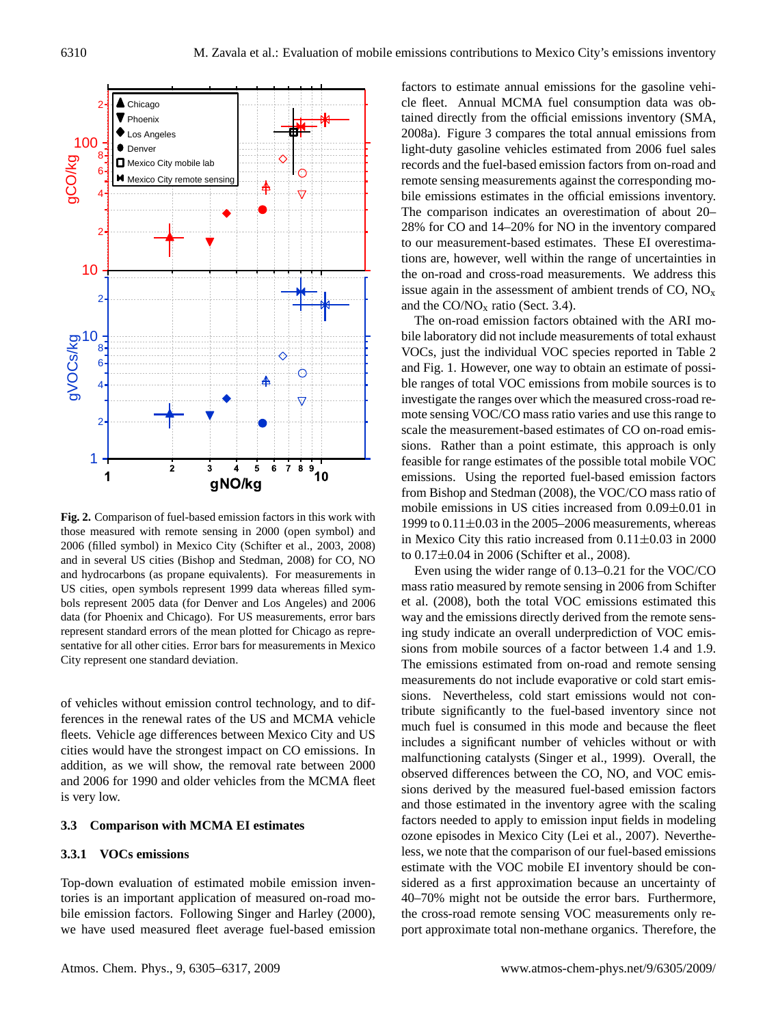

**Fig. 2.** Comparison of fuel-based emission factors in this work with those measured with remote sensing in 2000 (open symbol) and 2006 (filled symbol) in Mexico City (Schifter et al., 2003, 2008) and in several US cities (Bishop and Stedman, 2008) for CO, NO and hydrocarbons (as propane equivalents). For measurements in US cities, open symbols represent 1999 data whereas filled symbols represent 2005 data (for Denver and Los Angeles) and 2006 data (for Phoenix and Chicago). For US measurements, error bars represent standard errors of the mean plotted for Chicago as representative for all other cities. Error bars for measurements in Mexico City represent one standard deviation.

of vehicles without emission control technology, and to differences in the renewal rates of the US and MCMA vehicle fleets. Vehicle age differences between Mexico City and US cities would have the strongest impact on CO emissions. In addition, as we will show, the removal rate between 2000 and 2006 for 1990 and older vehicles from the MCMA fleet is very low.

## **3.3 Comparison with MCMA EI estimates**

## **3.3.1 VOCs emissions**

Top-down evaluation of estimated mobile emission inventories is an important application of measured on-road mobile emission factors. Following Singer and Harley (2000), we have used measured fleet average fuel-based emission factors to estimate annual emissions for the gasoline vehicle fleet. Annual MCMA fuel consumption data was obtained directly from the official emissions inventory (SMA, 2008a). Figure 3 compares the total annual emissions from light-duty gasoline vehicles estimated from 2006 fuel sales records and the fuel-based emission factors from on-road and remote sensing measurements against the corresponding mobile emissions estimates in the official emissions inventory. The comparison indicates an overestimation of about 20– 28% for CO and 14–20% for NO in the inventory compared to our measurement-based estimates. These EI overestimations are, however, well within the range of uncertainties in the on-road and cross-road measurements. We address this issue again in the assessment of ambient trends of  $CO$ ,  $NO<sub>x</sub>$ and the  $CO/NO<sub>x</sub>$  ratio (Sect. 3.4).

The on-road emission factors obtained with the ARI mobile laboratory did not include measurements of total exhaust VOCs, just the individual VOC species reported in Table 2 and Fig. 1. However, one way to obtain an estimate of possible ranges of total VOC emissions from mobile sources is to investigate the ranges over which the measured cross-road remote sensing VOC/CO mass ratio varies and use this range to scale the measurement-based estimates of CO on-road emissions. Rather than a point estimate, this approach is only feasible for range estimates of the possible total mobile VOC emissions. Using the reported fuel-based emission factors from Bishop and Stedman (2008), the VOC/CO mass ratio of mobile emissions in US cities increased from 0.09±0.01 in 1999 to  $0.11\pm0.03$  in the 2005–2006 measurements, whereas in Mexico City this ratio increased from  $0.11\pm0.03$  in 2000 to 0.17±0.04 in 2006 (Schifter et al., 2008).

Even using the wider range of 0.13–0.21 for the VOC/CO mass ratio measured by remote sensing in 2006 from Schifter et al. (2008), both the total VOC emissions estimated this way and the emissions directly derived from the remote sensing study indicate an overall underprediction of VOC emissions from mobile sources of a factor between 1.4 and 1.9. The emissions estimated from on-road and remote sensing measurements do not include evaporative or cold start emissions. Nevertheless, cold start emissions would not contribute significantly to the fuel-based inventory since not much fuel is consumed in this mode and because the fleet includes a significant number of vehicles without or with malfunctioning catalysts (Singer et al., 1999). Overall, the observed differences between the CO, NO, and VOC emissions derived by the measured fuel-based emission factors and those estimated in the inventory agree with the scaling factors needed to apply to emission input fields in modeling ozone episodes in Mexico City (Lei et al., 2007). Nevertheless, we note that the comparison of our fuel-based emissions estimate with the VOC mobile EI inventory should be considered as a first approximation because an uncertainty of 40–70% might not be outside the error bars. Furthermore, the cross-road remote sensing VOC measurements only report approximate total non-methane organics. Therefore, the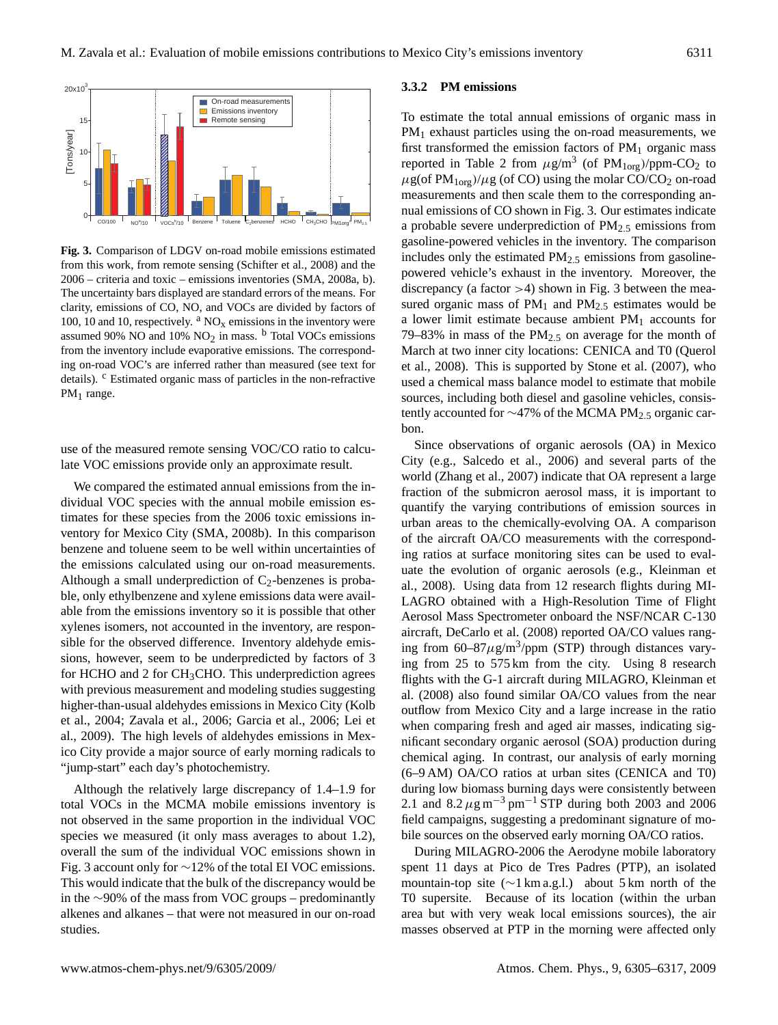

**Fig. 3.** Comparison of LDGV on-road mobile emissions estimated from this work, from remote sensing (Schifter et al., 2008) and the 2006 – criteria and toxic – emissions inventories (SMA, 2008a, b). The uncertainty bars displayed are standard errors of the means. For clarity, emissions of CO, NO, and VOCs are divided by factors of 100, 10 and 10, respectively.  $\rm{^a}$  NO<sub>x</sub> emissions in the inventory were assumed 90% NO and 10%  $NO<sub>2</sub>$  in mass. <sup>b</sup> Total VOCs emissions from the inventory include evaporative emissions. The corresponding on-road VOC's are inferred rather than measured (see text for details). <sup>c</sup> Estimated organic mass of particles in the non-refractive  $PM<sub>1</sub>$  range.

use of the measured remote sensing VOC/CO ratio to calculate VOC emissions provide only an approximate result.

We compared the estimated annual emissions from the individual VOC species with the annual mobile emission estimates for these species from the 2006 toxic emissions inventory for Mexico City (SMA, 2008b). In this comparison benzene and toluene seem to be well within uncertainties of the emissions calculated using our on-road measurements. Although a small underprediction of  $C_2$ -benzenes is probable, only ethylbenzene and xylene emissions data were available from the emissions inventory so it is possible that other xylenes isomers, not accounted in the inventory, are responsible for the observed difference. Inventory aldehyde emissions, however, seem to be underpredicted by factors of 3 for HCHO and 2 for  $CH<sub>3</sub>CHO$ . This underprediction agrees with previous measurement and modeling studies suggesting higher-than-usual aldehydes emissions in Mexico City (Kolb et al., 2004; Zavala et al., 2006; Garcia et al., 2006; Lei et al., 2009). The high levels of aldehydes emissions in Mexico City provide a major source of early morning radicals to "jump-start" each day's photochemistry.

Although the relatively large discrepancy of 1.4–1.9 for total VOCs in the MCMA mobile emissions inventory is not observed in the same proportion in the individual VOC species we measured (it only mass averages to about 1.2), overall the sum of the individual VOC emissions shown in Fig. 3 account only for ∼12% of the total EI VOC emissions. This would indicate that the bulk of the discrepancy would be in the ∼90% of the mass from VOC groups – predominantly alkenes and alkanes – that were not measured in our on-road studies.

## **3.3.2 PM emissions**

To estimate the total annual emissions of organic mass in PM<sub>1</sub> exhaust particles using the on-road measurements, we first transformed the emission factors of  $PM<sub>1</sub>$  organic mass reported in Table 2 from  $\mu$ g/m<sup>3</sup> (of PM<sub>1org</sub>)/ppm-CO<sub>2</sub> to  $\mu$ g(of PM<sub>1org</sub>)/ $\mu$ g (of CO) using the molar CO/CO<sub>2</sub> on-road measurements and then scale them to the corresponding annual emissions of CO shown in Fig. 3. Our estimates indicate a probable severe underprediction of PM2.<sup>5</sup> emissions from gasoline-powered vehicles in the inventory. The comparison includes only the estimated  $PM<sub>2.5</sub>$  emissions from gasolinepowered vehicle's exhaust in the inventory. Moreover, the discrepancy (a factor >4) shown in Fig. 3 between the measured organic mass of  $PM_1$  and  $PM_{2.5}$  estimates would be a lower limit estimate because ambient  $PM<sub>1</sub>$  accounts for 79–83% in mass of the  $PM_{2.5}$  on average for the month of March at two inner city locations: CENICA and T0 (Querol et al., 2008). This is supported by Stone et al. (2007), who used a chemical mass balance model to estimate that mobile sources, including both diesel and gasoline vehicles, consistently accounted for ∼47% of the MCMA PM2.<sup>5</sup> organic carbon.

Since observations of organic aerosols (OA) in Mexico City (e.g., Salcedo et al., 2006) and several parts of the world (Zhang et al., 2007) indicate that OA represent a large fraction of the submicron aerosol mass, it is important to quantify the varying contributions of emission sources in urban areas to the chemically-evolving OA. A comparison of the aircraft OA/CO measurements with the corresponding ratios at surface monitoring sites can be used to evaluate the evolution of organic aerosols (e.g., Kleinman et al., 2008). Using data from 12 research flights during MI-LAGRO obtained with a High-Resolution Time of Flight Aerosol Mass Spectrometer onboard the NSF/NCAR C-130 aircraft, DeCarlo et al. (2008) reported OA/CO values ranging from  $60-87\mu g/m^3$ /ppm (STP) through distances varying from 25 to 575 km from the city. Using 8 research flights with the G-1 aircraft during MILAGRO, Kleinman et al. (2008) also found similar OA/CO values from the near outflow from Mexico City and a large increase in the ratio when comparing fresh and aged air masses, indicating significant secondary organic aerosol (SOA) production during chemical aging. In contrast, our analysis of early morning (6–9 AM) OA/CO ratios at urban sites (CENICA and T0) during low biomass burning days were consistently between 2.1 and  $8.2 \,\mu g \,\text{m}^{-3} \,\text{pm}^{-1} \,\text{STP}$  during both 2003 and 2006 field campaigns, suggesting a predominant signature of mobile sources on the observed early morning OA/CO ratios.

During MILAGRO-2006 the Aerodyne mobile laboratory spent 11 days at Pico de Tres Padres (PTP), an isolated mountain-top site (∼1 km a.g.l.) about 5 km north of the T0 supersite. Because of its location (within the urban area but with very weak local emissions sources), the air masses observed at PTP in the morning were affected only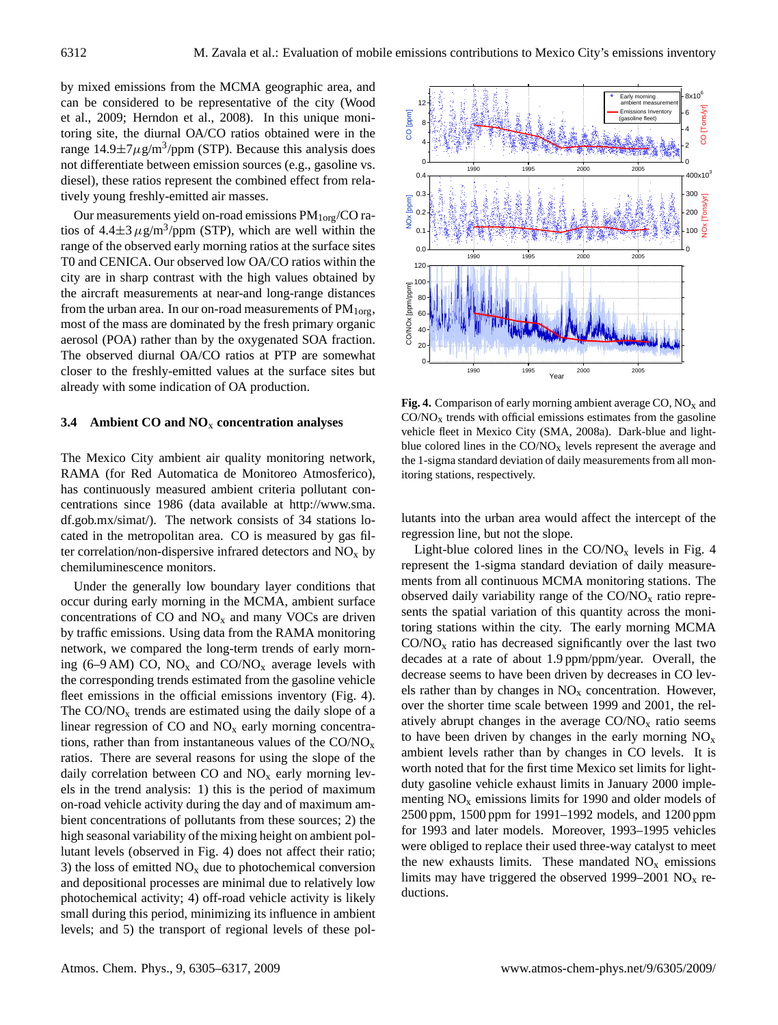by mixed emissions from the MCMA geographic area, and can be considered to be representative of the city (Wood et al., 2009; Herndon et al., 2008). In this unique monitoring site, the diurnal OA/CO ratios obtained were in the range  $14.9 \pm 7 \mu$ g/m<sup>3</sup>/ppm (STP). Because this analysis does not differentiate between emission sources (e.g., gasoline vs. diesel), these ratios represent the combined effect from relatively young freshly-emitted air masses.

Our measurements yield on-road emissions  $PM_{1org}/CO$  ratios of  $4.4 \pm 3 \,\mu g/m^3$ /ppm (STP), which are well within the range of the observed early morning ratios at the surface sites T0 and CENICA. Our observed low OA/CO ratios within the city are in sharp contrast with the high values obtained by the aircraft measurements at near-and long-range distances from the urban area. In our on-road measurements of  $PM_{1org}$ , most of the mass are dominated by the fresh primary organic aerosol (POA) rather than by the oxygenated SOA fraction. The observed diurnal OA/CO ratios at PTP are somewhat closer to the freshly-emitted values at the surface sites but already with some indication of OA production.

#### **3.4 Ambient CO and NO**<sup>x</sup> **concentration analyses**

The Mexico City ambient air quality monitoring network, RAMA (for Red Automatica de Monitoreo Atmosferico), has continuously measured ambient criteria pollutant concentrations since 1986 (data available at [http://www.sma.](http://www.sma.df.gob.mx/simat/) [df.gob.mx/simat/\)](http://www.sma.df.gob.mx/simat/). The network consists of 34 stations located in the metropolitan area. CO is measured by gas filter correlation/non-dispersive infrared detectors and  $NO<sub>x</sub>$  by chemiluminescence monitors.

Under the generally low boundary layer conditions that occur during early morning in the MCMA, ambient surface concentrations of  $CO$  and  $NO<sub>x</sub>$  and many VOCs are driven by traffic emissions. Using data from the RAMA monitoring network, we compared the long-term trends of early morning (6–9 AM) CO,  $NO_x$  and CO/NO<sub>x</sub> average levels with the corresponding trends estimated from the gasoline vehicle fleet emissions in the official emissions inventory (Fig. 4). The  $CO/NO<sub>x</sub>$  trends are estimated using the daily slope of a linear regression of  $CO$  and  $NO<sub>x</sub>$  early morning concentrations, rather than from instantaneous values of the  $CO/NO<sub>x</sub>$ ratios. There are several reasons for using the slope of the daily correlation between  $CO$  and  $NO<sub>x</sub>$  early morning levels in the trend analysis: 1) this is the period of maximum on-road vehicle activity during the day and of maximum ambient concentrations of pollutants from these sources; 2) the high seasonal variability of the mixing height on ambient pollutant levels (observed in Fig. 4) does not affect their ratio; 3) the loss of emitted  $NO<sub>x</sub>$  due to photochemical conversion and depositional processes are minimal due to relatively low photochemical activity; 4) off-road vehicle activity is likely small during this period, minimizing its influence in ambient levels; and 5) the transport of regional levels of these pol-



**Fig. 4.** Comparison of early morning ambient average CO, NO<sub>x</sub> and  $CO/NO<sub>x</sub>$  trends with official emissions estimates from the gasoline vehicle fleet in Mexico City (SMA, 2008a). Dark-blue and lightblue colored lines in the  $CO/NO<sub>x</sub>$  levels represent the average and the 1-sigma standard deviation of daily measurements from all monitoring stations, respectively.

lutants into the urban area would affect the intercept of the regression line, but not the slope.

Light-blue colored lines in the  $CO/NO<sub>x</sub>$  levels in Fig. 4 represent the 1-sigma standard deviation of daily measurements from all continuous MCMA monitoring stations. The observed daily variability range of the  $CO/NO<sub>x</sub>$  ratio represents the spatial variation of this quantity across the monitoring stations within the city. The early morning MCMA  $CO/NO<sub>x</sub>$  ratio has decreased significantly over the last two decades at a rate of about 1.9 ppm/ppm/year. Overall, the decrease seems to have been driven by decreases in CO levels rather than by changes in  $NO<sub>x</sub>$  concentration. However, over the shorter time scale between 1999 and 2001, the relatively abrupt changes in the average  $CO/NO<sub>x</sub>$  ratio seems to have been driven by changes in the early morning  $NO<sub>x</sub>$ ambient levels rather than by changes in CO levels. It is worth noted that for the first time Mexico set limits for lightduty gasoline vehicle exhaust limits in January 2000 implementing  $NO<sub>x</sub>$  emissions limits for 1990 and older models of 2500 ppm, 1500 ppm for 1991–1992 models, and 1200 ppm for 1993 and later models. Moreover, 1993–1995 vehicles were obliged to replace their used three-way catalyst to meet the new exhausts limits. These mandated  $NO<sub>x</sub>$  emissions limits may have triggered the observed 1999–2001  $NO<sub>x</sub>$  reductions.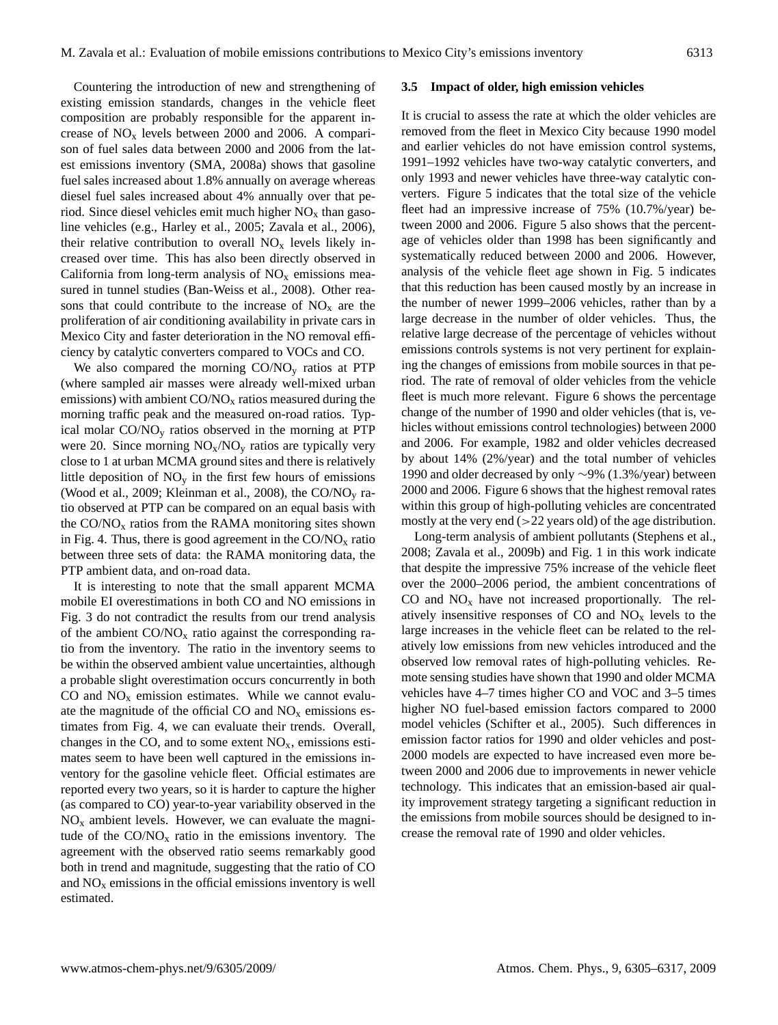Countering the introduction of new and strengthening of existing emission standards, changes in the vehicle fleet composition are probably responsible for the apparent increase of  $NO<sub>x</sub>$  levels between 2000 and 2006. A comparison of fuel sales data between 2000 and 2006 from the latest emissions inventory (SMA, 2008a) shows that gasoline fuel sales increased about 1.8% annually on average whereas diesel fuel sales increased about 4% annually over that period. Since diesel vehicles emit much higher  $NO<sub>x</sub>$  than gasoline vehicles (e.g., Harley et al., 2005; Zavala et al., 2006), their relative contribution to overall  $NO<sub>x</sub>$  levels likely increased over time. This has also been directly observed in California from long-term analysis of  $NO<sub>x</sub>$  emissions measured in tunnel studies (Ban-Weiss et al., 2008). Other reasons that could contribute to the increase of  $NO<sub>x</sub>$  are the proliferation of air conditioning availability in private cars in Mexico City and faster deterioration in the NO removal efficiency by catalytic converters compared to VOCs and CO.

We also compared the morning  $CO/NO<sub>v</sub>$  ratios at PTP (where sampled air masses were already well-mixed urban emissions) with ambient  $CO/NO<sub>x</sub>$  ratios measured during the morning traffic peak and the measured on-road ratios. Typical molar  $CO/NO<sub>v</sub>$  ratios observed in the morning at PTP were 20. Since morning  $NO_x/NO_y$  ratios are typically very close to 1 at urban MCMA ground sites and there is relatively little deposition of  $NO<sub>v</sub>$  in the first few hours of emissions (Wood et al., 2009; Kleinman et al., 2008), the CO/NO<sup>y</sup> ratio observed at PTP can be compared on an equal basis with the  $CO/NO<sub>x</sub>$  ratios from the RAMA monitoring sites shown in Fig. 4. Thus, there is good agreement in the  $CO/NO<sub>x</sub>$  ratio between three sets of data: the RAMA monitoring data, the PTP ambient data, and on-road data.

It is interesting to note that the small apparent MCMA mobile EI overestimations in both CO and NO emissions in Fig. 3 do not contradict the results from our trend analysis of the ambient  $CO/NO<sub>x</sub>$  ratio against the corresponding ratio from the inventory. The ratio in the inventory seems to be within the observed ambient value uncertainties, although a probable slight overestimation occurs concurrently in both CO and  $NO<sub>x</sub>$  emission estimates. While we cannot evaluate the magnitude of the official CO and  $NO<sub>x</sub>$  emissions estimates from Fig. 4, we can evaluate their trends. Overall, changes in the CO, and to some extent  $NO<sub>x</sub>$ , emissions estimates seem to have been well captured in the emissions inventory for the gasoline vehicle fleet. Official estimates are reported every two years, so it is harder to capture the higher (as compared to CO) year-to-year variability observed in the  $NO<sub>x</sub>$  ambient levels. However, we can evaluate the magnitude of the  $CO/NO<sub>x</sub>$  ratio in the emissions inventory. The agreement with the observed ratio seems remarkably good both in trend and magnitude, suggesting that the ratio of CO and  $NO<sub>x</sub>$  emissions in the official emissions inventory is well estimated.

#### **3.5 Impact of older, high emission vehicles**

It is crucial to assess the rate at which the older vehicles are removed from the fleet in Mexico City because 1990 model and earlier vehicles do not have emission control systems, 1991–1992 vehicles have two-way catalytic converters, and only 1993 and newer vehicles have three-way catalytic converters. Figure 5 indicates that the total size of the vehicle fleet had an impressive increase of 75% (10.7%/year) between 2000 and 2006. Figure 5 also shows that the percentage of vehicles older than 1998 has been significantly and systematically reduced between 2000 and 2006. However, analysis of the vehicle fleet age shown in Fig. 5 indicates that this reduction has been caused mostly by an increase in the number of newer 1999–2006 vehicles, rather than by a large decrease in the number of older vehicles. Thus, the relative large decrease of the percentage of vehicles without emissions controls systems is not very pertinent for explaining the changes of emissions from mobile sources in that period. The rate of removal of older vehicles from the vehicle fleet is much more relevant. Figure 6 shows the percentage change of the number of 1990 and older vehicles (that is, vehicles without emissions control technologies) between 2000 and 2006. For example, 1982 and older vehicles decreased by about 14% (2%/year) and the total number of vehicles 1990 and older decreased by only ∼9% (1.3%/year) between 2000 and 2006. Figure 6 shows that the highest removal rates within this group of high-polluting vehicles are concentrated mostly at the very end  $(>22$  years old) of the age distribution.

Long-term analysis of ambient pollutants (Stephens et al., 2008; Zavala et al., 2009b) and Fig. 1 in this work indicate that despite the impressive 75% increase of the vehicle fleet over the 2000–2006 period, the ambient concentrations of CO and  $NO<sub>x</sub>$  have not increased proportionally. The relatively insensitive responses of  $CO$  and  $NO<sub>x</sub>$  levels to the large increases in the vehicle fleet can be related to the relatively low emissions from new vehicles introduced and the observed low removal rates of high-polluting vehicles. Remote sensing studies have shown that 1990 and older MCMA vehicles have 4–7 times higher CO and VOC and 3–5 times higher NO fuel-based emission factors compared to 2000 model vehicles (Schifter et al., 2005). Such differences in emission factor ratios for 1990 and older vehicles and post-2000 models are expected to have increased even more between 2000 and 2006 due to improvements in newer vehicle technology. This indicates that an emission-based air quality improvement strategy targeting a significant reduction in the emissions from mobile sources should be designed to increase the removal rate of 1990 and older vehicles.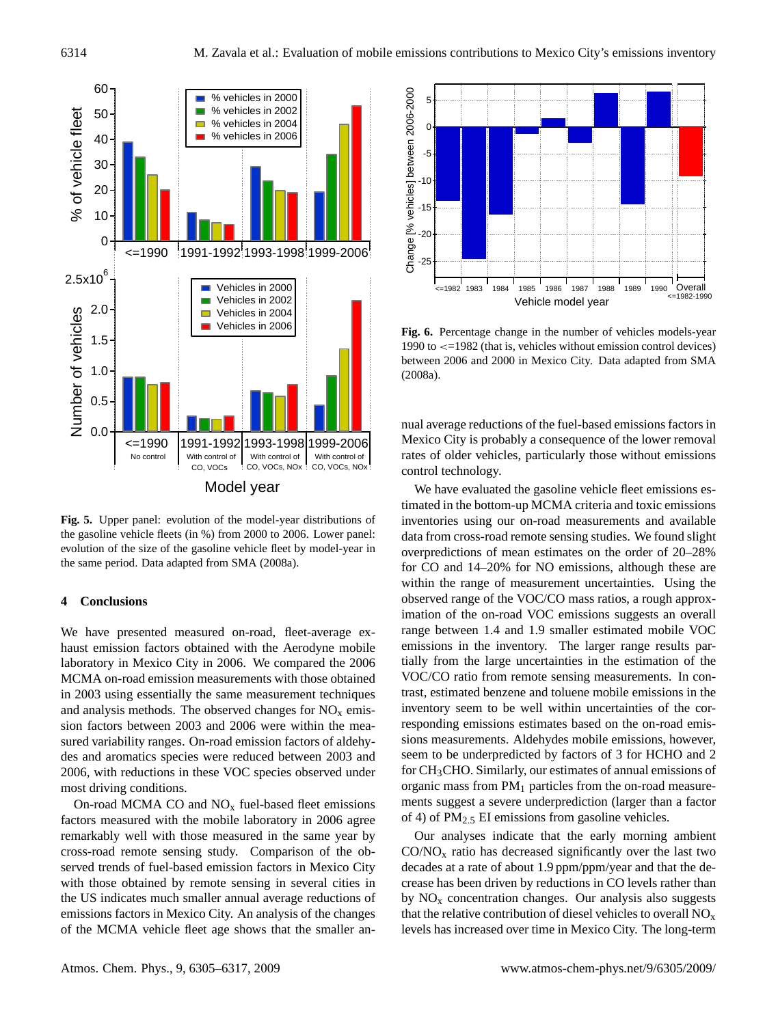

**Fig. 5.** Upper panel: evolution of the model-year distributions of the gasoline vehicle fleets (in %) from 2000 to 2006. Lower panel: evolution of the size of the gasoline vehicle fleet by model-year in the same period. Data adapted from SMA (2008a).

## **4 Conclusions**

We have presented measured on-road, fleet-average exhaust emission factors obtained with the Aerodyne mobile laboratory in Mexico City in 2006. We compared the 2006 MCMA on-road emission measurements with those obtained in 2003 using essentially the same measurement techniques and analysis methods. The observed changes for  $NO<sub>x</sub>$  emission factors between 2003 and 2006 were within the measured variability ranges. On-road emission factors of aldehydes and aromatics species were reduced between 2003 and 2006, with reductions in these VOC species observed under most driving conditions.

On-road MCMA CO and  $NO<sub>x</sub>$  fuel-based fleet emissions factors measured with the mobile laboratory in 2006 agree remarkably well with those measured in the same year by cross-road remote sensing study. Comparison of the observed trends of fuel-based emission factors in Mexico City with those obtained by remote sensing in several cities in the US indicates much smaller annual average reductions of emissions factors in Mexico City. An analysis of the changes of the MCMA vehicle fleet age shows that the smaller an-



**Fig. 6.** Percentage change in the number of vehicles models-year 1990 to <=1982 (that is, vehicles without emission control devices) between 2006 and 2000 in Mexico City. Data adapted from SMA (2008a).

nual average reductions of the fuel-based emissions factors in Mexico City is probably a consequence of the lower removal rates of older vehicles, particularly those without emissions control technology.

We have evaluated the gasoline vehicle fleet emissions estimated in the bottom-up MCMA criteria and toxic emissions inventories using our on-road measurements and available data from cross-road remote sensing studies. We found slight overpredictions of mean estimates on the order of 20–28% for CO and 14–20% for NO emissions, although these are within the range of measurement uncertainties. Using the observed range of the VOC/CO mass ratios, a rough approximation of the on-road VOC emissions suggests an overall range between 1.4 and 1.9 smaller estimated mobile VOC emissions in the inventory. The larger range results partially from the large uncertainties in the estimation of the VOC/CO ratio from remote sensing measurements. In contrast, estimated benzene and toluene mobile emissions in the inventory seem to be well within uncertainties of the corresponding emissions estimates based on the on-road emissions measurements. Aldehydes mobile emissions, however, seem to be underpredicted by factors of 3 for HCHO and 2 for CH3CHO. Similarly, our estimates of annual emissions of organic mass from  $PM<sub>1</sub>$  particles from the on-road measurements suggest a severe underprediction (larger than a factor of 4) of  $PM_{2.5}$  EI emissions from gasoline vehicles.

Our analyses indicate that the early morning ambient  $CO/NO<sub>x</sub>$  ratio has decreased significantly over the last two decades at a rate of about 1.9 ppm/ppm/year and that the decrease has been driven by reductions in CO levels rather than by  $NO<sub>x</sub>$  concentration changes. Our analysis also suggests that the relative contribution of diesel vehicles to overall  $NO<sub>x</sub>$ levels has increased over time in Mexico City. The long-term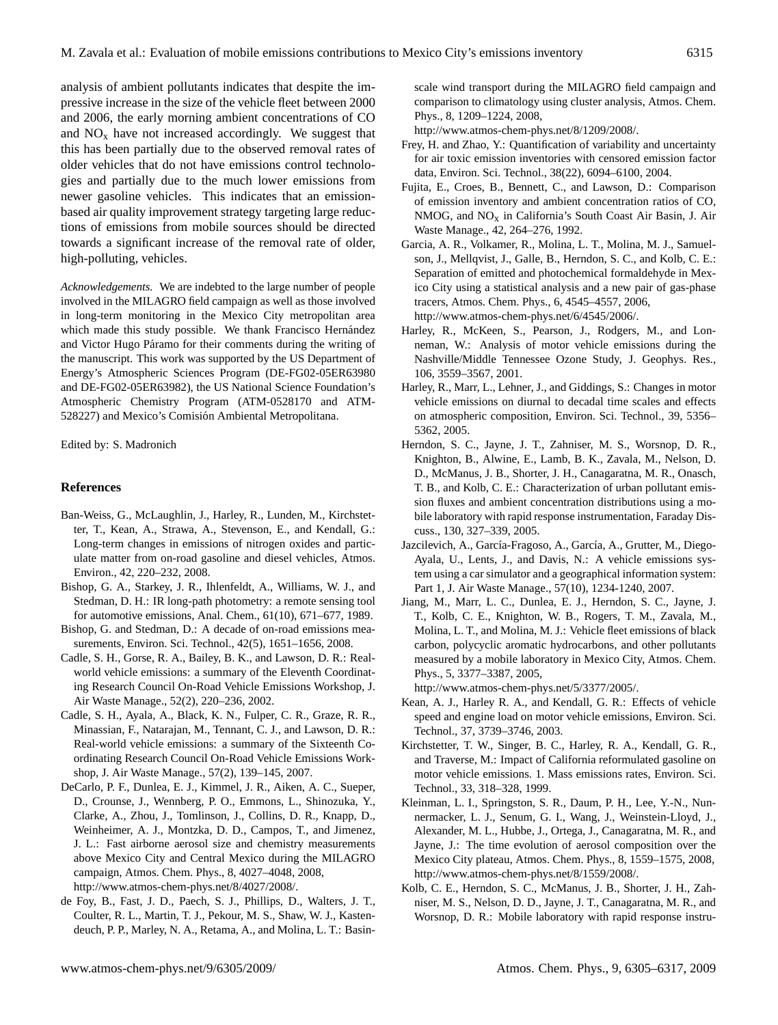analysis of ambient pollutants indicates that despite the impressive increase in the size of the vehicle fleet between 2000 and 2006, the early morning ambient concentrations of CO and  $NO<sub>x</sub>$  have not increased accordingly. We suggest that this has been partially due to the observed removal rates of older vehicles that do not have emissions control technologies and partially due to the much lower emissions from newer gasoline vehicles. This indicates that an emissionbased air quality improvement strategy targeting large reductions of emissions from mobile sources should be directed towards a significant increase of the removal rate of older, high-polluting, vehicles.

*Acknowledgements.* We are indebted to the large number of people involved in the MILAGRO field campaign as well as those involved in long-term monitoring in the Mexico City metropolitan area which made this study possible. We thank Francisco Hernández and Victor Hugo Páramo for their comments during the writing of the manuscript. This work was supported by the US Department of Energy's Atmospheric Sciences Program (DE-FG02-05ER63980 and DE-FG02-05ER63982), the US National Science Foundation's Atmospheric Chemistry Program (ATM-0528170 and ATM-528227) and Mexico's Comisión Ambiental Metropolitana.

Edited by: S. Madronich

#### **References**

- Ban-Weiss, G., McLaughlin, J., Harley, R., Lunden, M., Kirchstetter, T., Kean, A., Strawa, A., Stevenson, E., and Kendall, G.: Long-term changes in emissions of nitrogen oxides and particulate matter from on-road gasoline and diesel vehicles, Atmos. Environ., 42, 220–232, 2008.
- Bishop, G. A., Starkey, J. R., Ihlenfeldt, A., Williams, W. J., and Stedman, D. H.: IR long-path photometry: a remote sensing tool for automotive emissions, Anal. Chem., 61(10), 671–677, 1989.
- Bishop, G. and Stedman, D.: A decade of on-road emissions measurements, Environ. Sci. Technol., 42(5), 1651–1656, 2008.
- Cadle, S. H., Gorse, R. A., Bailey, B. K., and Lawson, D. R.: Realworld vehicle emissions: a summary of the Eleventh Coordinating Research Council On-Road Vehicle Emissions Workshop, J. Air Waste Manage., 52(2), 220–236, 2002.
- Cadle, S. H., Ayala, A., Black, K. N., Fulper, C. R., Graze, R. R., Minassian, F., Natarajan, M., Tennant, C. J., and Lawson, D. R.: Real-world vehicle emissions: a summary of the Sixteenth Coordinating Research Council On-Road Vehicle Emissions Workshop, J. Air Waste Manage., 57(2), 139–145, 2007.
- DeCarlo, P. F., Dunlea, E. J., Kimmel, J. R., Aiken, A. C., Sueper, D., Crounse, J., Wennberg, P. O., Emmons, L., Shinozuka, Y., Clarke, A., Zhou, J., Tomlinson, J., Collins, D. R., Knapp, D., Weinheimer, A. J., Montzka, D. D., Campos, T., and Jimenez, J. L.: Fast airborne aerosol size and chemistry measurements above Mexico City and Central Mexico during the MILAGRO campaign, Atmos. Chem. Phys., 8, 4027–4048, 2008, [http://www.atmos-chem-phys.net/8/4027/2008/.](http://www.atmos-chem-phys.net/8/4027/2008/)
- de Foy, B., Fast, J. D., Paech, S. J., Phillips, D., Walters, J. T., Coulter, R. L., Martin, T. J., Pekour, M. S., Shaw, W. J., Kastendeuch, P. P., Marley, N. A., Retama, A., and Molina, L. T.: Basin-

scale wind transport during the MILAGRO field campaign and comparison to climatology using cluster analysis, Atmos. Chem. Phys., 8, 1209–1224, 2008,

[http://www.atmos-chem-phys.net/8/1209/2008/.](http://www.atmos-chem-phys.net/8/1209/2008/)

- Frey, H. and Zhao, Y.: Quantification of variability and uncertainty for air toxic emission inventories with censored emission factor data, Environ. Sci. Technol., 38(22), 6094–6100, 2004.
- Fujita, E., Croes, B., Bennett, C., and Lawson, D.: Comparison of emission inventory and ambient concentration ratios of CO, NMOG, and  $NO<sub>x</sub>$  in California's South Coast Air Basin, J. Air Waste Manage., 42, 264–276, 1992.
- Garcia, A. R., Volkamer, R., Molina, L. T., Molina, M. J., Samuelson, J., Mellqvist, J., Galle, B., Herndon, S. C., and Kolb, C. E.: Separation of emitted and photochemical formaldehyde in Mexico City using a statistical analysis and a new pair of gas-phase tracers, Atmos. Chem. Phys., 6, 4545–4557, 2006, [http://www.atmos-chem-phys.net/6/4545/2006/.](http://www.atmos-chem-phys.net/6/4545/2006/)
- Harley, R., McKeen, S., Pearson, J., Rodgers, M., and Lonneman, W.: Analysis of motor vehicle emissions during the Nashville/Middle Tennessee Ozone Study, J. Geophys. Res., 106, 3559–3567, 2001.
- Harley, R., Marr, L., Lehner, J., and Giddings, S.: Changes in motor vehicle emissions on diurnal to decadal time scales and effects on atmospheric composition, Environ. Sci. Technol., 39, 5356– 5362, 2005.
- Herndon, S. C., Jayne, J. T., Zahniser, M. S., Worsnop, D. R., Knighton, B., Alwine, E., Lamb, B. K., Zavala, M., Nelson, D. D., McManus, J. B., Shorter, J. H., Canagaratna, M. R., Onasch, T. B., and Kolb, C. E.: Characterization of urban pollutant emission fluxes and ambient concentration distributions using a mobile laboratory with rapid response instrumentation, Faraday Discuss., 130, 327–339, 2005.
- Jazcilevich, A., García-Fragoso, A., García, A., Grutter, M., Diego-Ayala, U., Lents, J., and Davis, N.: A vehicle emissions system using a car simulator and a geographical information system: Part 1, J. Air Waste Manage., 57(10), 1234-1240, 2007.
- Jiang, M., Marr, L. C., Dunlea, E. J., Herndon, S. C., Jayne, J. T., Kolb, C. E., Knighton, W. B., Rogers, T. M., Zavala, M., Molina, L. T., and Molina, M. J.: Vehicle fleet emissions of black carbon, polycyclic aromatic hydrocarbons, and other pollutants measured by a mobile laboratory in Mexico City, Atmos. Chem. Phys., 5, 3377–3387, 2005,

[http://www.atmos-chem-phys.net/5/3377/2005/.](http://www.atmos-chem-phys.net/5/3377/2005/)

- Kean, A. J., Harley R. A., and Kendall, G. R.: Effects of vehicle speed and engine load on motor vehicle emissions, Environ. Sci. Technol., 37, 3739–3746, 2003.
- Kirchstetter, T. W., Singer, B. C., Harley, R. A., Kendall, G. R., and Traverse, M.: Impact of California reformulated gasoline on motor vehicle emissions. 1. Mass emissions rates, Environ. Sci. Technol., 33, 318–328, 1999.
- Kleinman, L. I., Springston, S. R., Daum, P. H., Lee, Y.-N., Nunnermacker, L. J., Senum, G. I., Wang, J., Weinstein-Lloyd, J., Alexander, M. L., Hubbe, J., Ortega, J., Canagaratna, M. R., and Jayne, J.: The time evolution of aerosol composition over the Mexico City plateau, Atmos. Chem. Phys., 8, 1559–1575, 2008, [http://www.atmos-chem-phys.net/8/1559/2008/.](http://www.atmos-chem-phys.net/8/1559/2008/)
- Kolb, C. E., Herndon, S. C., McManus, J. B., Shorter, J. H., Zahniser, M. S., Nelson, D. D., Jayne, J. T., Canagaratna, M. R., and Worsnop, D. R.: Mobile laboratory with rapid response instru-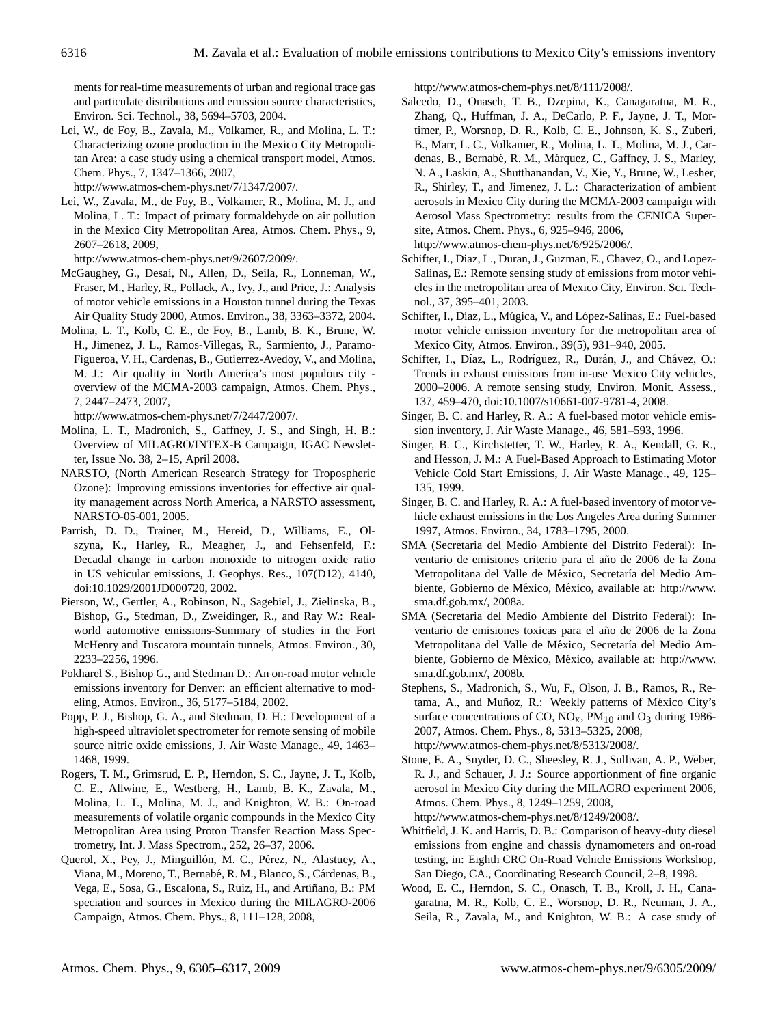ments for real-time measurements of urban and regional trace gas and particulate distributions and emission source characteristics, Environ. Sci. Technol., 38, 5694–5703, 2004.

Lei, W., de Foy, B., Zavala, M., Volkamer, R., and Molina, L. T.: Characterizing ozone production in the Mexico City Metropolitan Area: a case study using a chemical transport model, Atmos. Chem. Phys., 7, 1347–1366, 2007,

[http://www.atmos-chem-phys.net/7/1347/2007/.](http://www.atmos-chem-phys.net/7/1347/2007/)

Lei, W., Zavala, M., de Foy, B., Volkamer, R., Molina, M. J., and Molina, L. T.: Impact of primary formaldehyde on air pollution in the Mexico City Metropolitan Area, Atmos. Chem. Phys., 9, 2607–2618, 2009,

[http://www.atmos-chem-phys.net/9/2607/2009/.](http://www.atmos-chem-phys.net/9/2607/2009/)

- McGaughey, G., Desai, N., Allen, D., Seila, R., Lonneman, W., Fraser, M., Harley, R., Pollack, A., Ivy, J., and Price, J.: Analysis of motor vehicle emissions in a Houston tunnel during the Texas Air Quality Study 2000, Atmos. Environ., 38, 3363–3372, 2004.
- Molina, L. T., Kolb, C. E., de Foy, B., Lamb, B. K., Brune, W. H., Jimenez, J. L., Ramos-Villegas, R., Sarmiento, J., Paramo-Figueroa, V. H., Cardenas, B., Gutierrez-Avedoy, V., and Molina, M. J.: Air quality in North America's most populous city overview of the MCMA-2003 campaign, Atmos. Chem. Phys., 7, 2447–2473, 2007,

[http://www.atmos-chem-phys.net/7/2447/2007/.](http://www.atmos-chem-phys.net/7/2447/2007/)

- Molina, L. T., Madronich, S., Gaffney, J. S., and Singh, H. B.: Overview of MILAGRO/INTEX-B Campaign, IGAC Newsletter, Issue No. 38, 2–15, April 2008.
- NARSTO, (North American Research Strategy for Tropospheric Ozone): Improving emissions inventories for effective air quality management across North America, a NARSTO assessment, NARSTO-05-001, 2005.
- Parrish, D. D., Trainer, M., Hereid, D., Williams, E., Olszyna, K., Harley, R., Meagher, J., and Fehsenfeld, F.: Decadal change in carbon monoxide to nitrogen oxide ratio in US vehicular emissions, J. Geophys. Res., 107(D12), 4140, doi:10.1029/2001JD000720, 2002.
- Pierson, W., Gertler, A., Robinson, N., Sagebiel, J., Zielinska, B., Bishop, G., Stedman, D., Zweidinger, R., and Ray W.: Realworld automotive emissions-Summary of studies in the Fort McHenry and Tuscarora mountain tunnels, Atmos. Environ., 30, 2233–2256, 1996.
- Pokharel S., Bishop G., and Stedman D.: An on-road motor vehicle emissions inventory for Denver: an efficient alternative to modeling, Atmos. Environ., 36, 5177–5184, 2002.
- Popp, P. J., Bishop, G. A., and Stedman, D. H.: Development of a high-speed ultraviolet spectrometer for remote sensing of mobile source nitric oxide emissions, J. Air Waste Manage., 49, 1463– 1468, 1999.
- Rogers, T. M., Grimsrud, E. P., Herndon, S. C., Jayne, J. T., Kolb, C. E., Allwine, E., Westberg, H., Lamb, B. K., Zavala, M., Molina, L. T., Molina, M. J., and Knighton, W. B.: On-road measurements of volatile organic compounds in the Mexico City Metropolitan Area using Proton Transfer Reaction Mass Spectrometry, Int. J. Mass Spectrom., 252, 26–37, 2006.
- Querol, X., Pey, J., Minguillón, M. C., Pérez, N., Alastuey, A., Viana, M., Moreno, T., Bernabé, R. M., Blanco, S., Cárdenas, B., Vega, E., Sosa, G., Escalona, S., Ruiz, H., and Artíñano, B.: PM speciation and sources in Mexico during the MILAGRO-2006 Campaign, Atmos. Chem. Phys., 8, 111–128, 2008,

[http://www.atmos-chem-phys.net/8/111/2008/.](http://www.atmos-chem-phys.net/8/111/2008/)

Salcedo, D., Onasch, T. B., Dzepina, K., Canagaratna, M. R., Zhang, Q., Huffman, J. A., DeCarlo, P. F., Jayne, J. T., Mortimer, P., Worsnop, D. R., Kolb, C. E., Johnson, K. S., Zuberi, B., Marr, L. C., Volkamer, R., Molina, L. T., Molina, M. J., Cardenas, B., Bernabé, R. M., Márquez, C., Gaffney, J. S., Marley, N. A., Laskin, A., Shutthanandan, V., Xie, Y., Brune, W., Lesher, R., Shirley, T., and Jimenez, J. L.: Characterization of ambient aerosols in Mexico City during the MCMA-2003 campaign with Aerosol Mass Spectrometry: results from the CENICA Supersite, Atmos. Chem. Phys., 6, 925–946, 2006, [http://www.atmos-chem-phys.net/6/925/2006/.](http://www.atmos-chem-phys.net/6/925/2006/)

Schifter, I., Diaz, L., Duran, J., Guzman, E., Chavez, O., and Lopez-Salinas, E.: Remote sensing study of emissions from motor vehicles in the metropolitan area of Mexico City, Environ. Sci. Technol., 37, 395–401, 2003.

- Schifter, I., Díaz, L., Múgica, V., and López-Salinas, E.: Fuel-based motor vehicle emission inventory for the metropolitan area of Mexico City, Atmos. Environ., 39(5), 931–940, 2005.
- Schifter, I., Díaz, L., Rodríguez, R., Durán, J., and Chávez, O.: Trends in exhaust emissions from in-use Mexico City vehicles, 2000–2006. A remote sensing study, Environ. Monit. Assess., 137, 459–470, doi:10.1007/s10661-007-9781-4, 2008.
- Singer, B. C. and Harley, R. A.: A fuel-based motor vehicle emission inventory, J. Air Waste Manage., 46, 581–593, 1996.
- Singer, B. C., Kirchstetter, T. W., Harley, R. A., Kendall, G. R., and Hesson, J. M.: A Fuel-Based Approach to Estimating Motor Vehicle Cold Start Emissions, J. Air Waste Manage., 49, 125– 135, 1999.
- Singer, B. C. and Harley, R. A.: A fuel-based inventory of motor vehicle exhaust emissions in the Los Angeles Area during Summer 1997, Atmos. Environ., 34, 1783–1795, 2000.
- SMA (Secretaria del Medio Ambiente del Distrito Federal): Inventario de emisiones criterio para el año de 2006 de la Zona Metropolitana del Valle de México, Secretaría del Medio Ambiente, Gobierno de México, México, available at: [http://www.](http://www.sma.df.gob.mx/) [sma.df.gob.mx/,](http://www.sma.df.gob.mx/) 2008a.
- SMA (Secretaria del Medio Ambiente del Distrito Federal): Inventario de emisiones toxicas para el año de 2006 de la Zona Metropolitana del Valle de México, Secretaría del Medio Ambiente, Gobierno de México, México, available at: [http://www.](http://www.sma.df.gob.mx/) [sma.df.gob.mx/,](http://www.sma.df.gob.mx/) 2008b.
- Stephens, S., Madronich, S., Wu, F., Olson, J. B., Ramos, R., Retama, A., and Muñoz, R.: Weekly patterns of México City's surface concentrations of CO,  $NO<sub>x</sub>$ ,  $PM<sub>10</sub>$  and  $O<sub>3</sub>$  during 1986-2007, Atmos. Chem. Phys., 8, 5313–5325, 2008, [http://www.atmos-chem-phys.net/8/5313/2008/.](http://www.atmos-chem-phys.net/8/5313/2008/)
- Stone, E. A., Snyder, D. C., Sheesley, R. J., Sullivan, A. P., Weber, R. J., and Schauer, J. J.: Source apportionment of fine organic aerosol in Mexico City during the MILAGRO experiment 2006, Atmos. Chem. Phys., 8, 1249–1259, 2008, [http://www.atmos-chem-phys.net/8/1249/2008/.](http://www.atmos-chem-phys.net/8/1249/2008/)
- Whitfield, J. K. and Harris, D. B.: Comparison of heavy-duty diesel emissions from engine and chassis dynamometers and on-road testing, in: Eighth CRC On-Road Vehicle Emissions Workshop, San Diego, CA., Coordinating Research Council, 2–8, 1998.
- Wood, E. C., Herndon, S. C., Onasch, T. B., Kroll, J. H., Canagaratna, M. R., Kolb, C. E., Worsnop, D. R., Neuman, J. A., Seila, R., Zavala, M., and Knighton, W. B.: A case study of